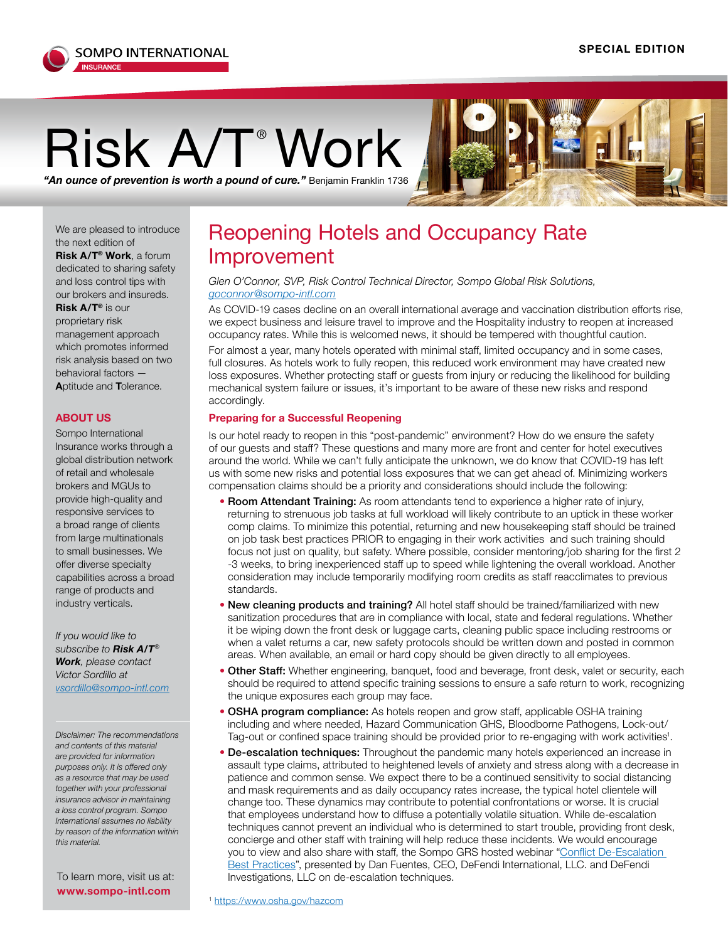

## $\mathsf{Risk}_\mathsf{A/T}$ <sup>®</sup> Wo**rk**

*"An ounce of prevention is worth a pound of cure."* Benjamin Franklin 1736

We are pleased to introduce the next edition of **Risk A/T® Work**, a forum dedicated to sharing safety and loss control tips with our brokers and insureds. **Risk A/T®** is our proprietary risk management approach which promotes informed risk analysis based on two behavioral factors —

**A**ptitude and **T**olerance.

## **ABOUT US**

Sompo International Insurance works through a global distribution network of retail and wholesale brokers and MGUs to provide high-quality and responsive services to a broad range of clients from large multinationals to small businesses. We offer diverse specialty capabilities across a broad range of product[s](mailto:irizea%40sompo-intl.com?subject=) and industry verticals.

*If you would like to subscribe to Risk A/T® Work, please contact Victor Sordillo at vsordillo@sompo-intl.com*

*Disclaimer: The recommendations and contents of this material are provided for information purposes only. It is offered only as a resource that may be used together with your professional insurance advisor in maintaining a loss control program. Sompo International assumes no liability by reason of the information within this material.*

To learn more, visit us at: **www.sompo-intl.com**

## Reopening Hotels and Occupancy Rate Improvement

*Glen O'Connor, SVP, Risk Control Technical Director, Sompo Global Risk Solutions, [goconnor@sompo-intl.com](mailto:goconnor%40sompo-intl.com?subject=)*

As COVID-19 cases decline on an overall international average and vaccination distribution efforts rise, we expect business and leisure travel to improve and the Hospitality industry to reopen at increased occupancy rates. While this is welcomed news, it should be tempered with thoughtful caution.

For almost a year, many hotels operated with minimal staff, limited occupancy and in some cases, full closures. As hotels work to fully reopen, this reduced work environment may have created new loss exposures. Whether protecting staff or guests from injury or reducing the likelihood for building mechanical system failure or issues, it's important to be aware of these new risks and respond accordingly.

## **Preparing for a Successful Reopening**

Is our hotel ready to reopen in this "post-pandemic" environment? How do we ensure the safety of our guests and staff? These questions and many more are front and center for hotel executives around the world. While we can't fully anticipate the unknown, we do know that COVID-19 has left us with some new risks and potential loss exposures that we can get ahead of. Minimizing workers compensation claims should be a priority and considerations should include the following:

- Room Attendant Training: As room attendants tend to experience a higher rate of injury, returning to strenuous job tasks at full workload will likely contribute to an uptick in these worker comp claims. To minimize this potential, returning and new housekeeping staff should be trained on job task best practices PRIOR to engaging in their work activities and such training should focus not just on quality, but safety. Where possible, consider mentoring/job sharing for the first 2 -3 weeks, to bring inexperienced staff up to speed while lightening the overall workload. Another consideration may include temporarily modifying room credits as staff reacclimates to previous standards.
- New cleaning products and training? All hotel staff should be trained/familiarized with new sanitization procedures that are in compliance with local, state and federal regulations. Whether it be wiping down the front desk or luggage carts, cleaning public space including restrooms or when a valet returns a car, new safety protocols should be written down and posted in common areas. When available, an email or hard copy should be given directly to all employees.
- Other Staff: Whether engineering, banquet, food and beverage, front desk, valet or security, each should be required to attend specific training sessions to ensure a safe return to work, recognizing the unique exposures each group may face.
- OSHA program compliance: As hotels reopen and grow staff, applicable OSHA training including and where needed, Hazard Communication GHS, Bloodborne Pathogens, Lock-out/ Tag-out or confined space training should be provided prior to re-engaging with work activities<sup>1</sup>.
- De-escalation techniques: Throughout the pandemic many hotels experienced an increase in assault type claims, attributed to heightened levels of anxiety and stress along with a decrease in patience and common sense. We expect there to be a continued sensitivity to social distancing and mask requirements and as daily occupancy rates increase, the typical hotel clientele will change too. These dynamics may contribute to potential confrontations or worse. It is crucial that employees understand how to diffuse a potentially volatile situation. While de-escalation techniques cannot prevent an individual who is determined to start trouble, providing front desk, concierge and other staff with training will help reduce these incidents. We would encourage you to view and also share with staff, the Sompo GRS hosted webinar ["Conflict De-Escalation](https://vimeo.com/454023816)  [Best Practices"](https://vimeo.com/454023816), presented by Dan Fuentes, CEO, DeFendi International, LLC. and DeFendi Investigations, LLC on de-escalation techniques.

<sup>1</sup> <https://www.osha.gov/hazcom>